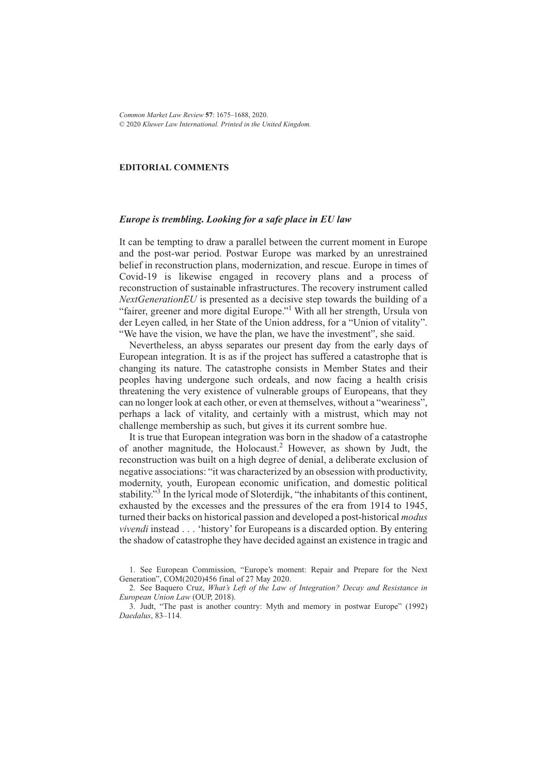#### **EDITORIAL COMMENTS**

### *Europe is trembling. Looking for a safe place in EU law*

It can be tempting to draw a parallel between the current moment in Europe and the post-war period. Postwar Europe was marked by an unrestrained belief in reconstruction plans, modernization, and rescue. Europe in times of Covid-19 is likewise engaged in recovery plans and a process of reconstruction of sustainable infrastructures. The recovery instrument called *NextGenerationEU* is presented as a decisive step towards the building of a "fairer, greener and more digital Europe."<sup>1</sup> With all her strength, Ursula von der Leyen called, in her State of the Union address, for a "Union of vitality". "We have the vision, we have the plan, we have the investment", she said.

Nevertheless, an abyss separates our present day from the early days of European integration. It is as if the project has suffered a catastrophe that is changing its nature. The catastrophe consists in Member States and their peoples having undergone such ordeals, and now facing a health crisis threatening the very existence of vulnerable groups of Europeans, that they can no longer look at each other, or even at themselves, without a "weariness", perhaps a lack of vitality, and certainly with a mistrust, which may not challenge membership as such, but gives it its current sombre hue.

It is true that European integration was born in the shadow of a catastrophe of another magnitude, the Holocaust.2 However, as shown by Judt, the reconstruction was built on a high degree of denial, a deliberate exclusion of negative associations: "it was characterized by an obsession with productivity, modernity, youth, European economic unification, and domestic political stability."<sup>3</sup> In the lyrical mode of Sloterdijk, "the inhabitants of this continent, exhausted by the excesses and the pressures of the era from 1914 to 1945, turned their backs on historical passion and developed a post-historical *modus vivendi* instead... 'history' for Europeans is a discarded option. By entering the shadow of catastrophe they have decided against an existence in tragic and

1. See European Commission, "Europe's moment: Repair and Prepare for the Next Generation", COM(2020)456 final of 27 May 2020.

2. See Baquero Cruz, *What's Left of the Law of Integration? Decay and Resistance in European Union Law* (OUP, 2018).

3. Judt, "The past is another country: Myth and memory in postwar Europe" (1992) *Daedalus*, 83–114.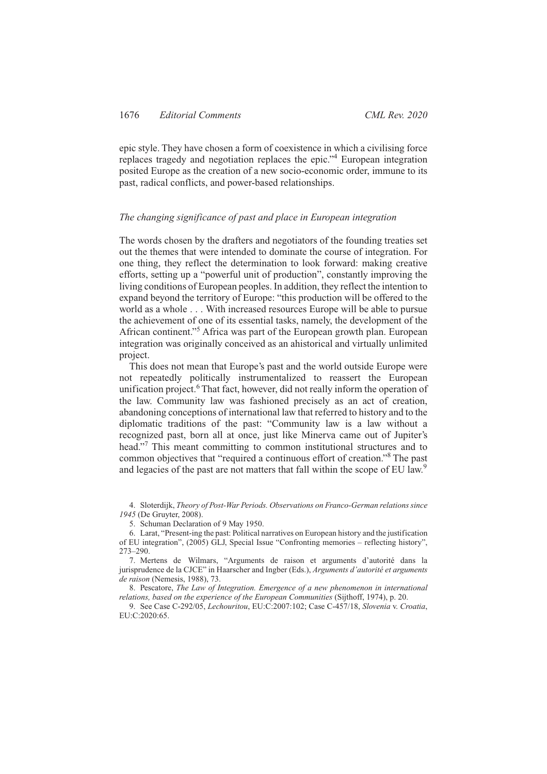epic style. They have chosen a form of coexistence in which a civilising force replaces tragedy and negotiation replaces the epic."<sup>4</sup> European integration posited Europe as the creation of a new socio-economic order, immune to its past, radical conflicts, and power-based relationships.

## *The changing significance of past and place in European integration*

The words chosen by the drafters and negotiators of the founding treaties set out the themes that were intended to dominate the course of integration. For one thing, they reflect the determination to look forward: making creative efforts, setting up a "powerful unit of production", constantly improving the living conditions of European peoples. In addition, they reflect the intention to expand beyond the territory of Europe: "this production will be offered to the world as a whole . . . With increased resources Europe will be able to pursue the achievement of one of its essential tasks, namely, the development of the African continent."5 Africa was part of the European growth plan. European integration was originally conceived as an ahistorical and virtually unlimited project.

This does not mean that Europe's past and the world outside Europe were not repeatedly politically instrumentalized to reassert the European unification project.<sup>6</sup> That fact, however, did not really inform the operation of the law. Community law was fashioned precisely as an act of creation, abandoning conceptions of international law that referred to history and to the diplomatic traditions of the past: "Community law is a law without a recognized past, born all at once, just like Minerva came out of Jupiter's head."<sup>7</sup> This meant committing to common institutional structures and to common objectives that "required a continuous effort of creation."8 The past and legacies of the past are not matters that fall within the scope of EU law.<sup>9</sup>

4. Sloterdijk, *Theory of Post-War Periods. Observations on Franco-German relations since 1945* (De Gruyter, 2008).

5. Schuman Declaration of 9 May 1950.

6. Larat, "Present-ing the past: Political narratives on European history and the justification of EU integration", (2005) GLJ, Special Issue "Confronting memories – reflecting history", 273–290.

7. Mertens de Wilmars, "Arguments de raison et arguments d'autorité dans la jurisprudence de la CJCE" in Haarscher and Ingber (Eds.), *Arguments d'autorité et arguments de raison* (Nemesis, 1988), 73.

8. Pescatore, *The Law of Integration. Emergence of a new phenomenon in international relations, based on the experience of the European Communities* (Sijthoff, 1974), p. 20.

9. See Case C-292/05, *Lechouritou*, EU:C:2007:102; Case C-457/18, *Slovenia* v. *Croatia*, EU:C:2020:65.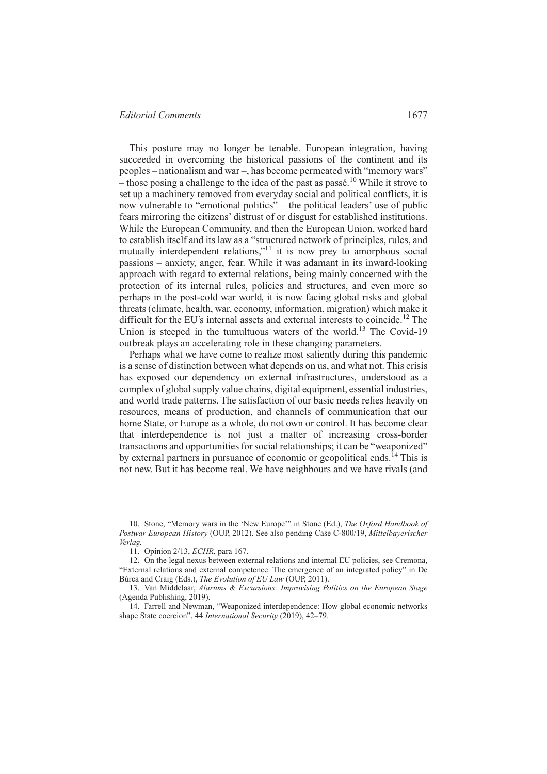This posture may no longer be tenable. European integration, having succeeded in overcoming the historical passions of the continent and its peoples – nationalism and war –, has become permeated with "memory wars" – those posing a challenge to the idea of the past as passé.<sup>10</sup> While it strove to set up a machinery removed from everyday social and political conflicts, it is now vulnerable to "emotional politics" – the political leaders' use of public fears mirroring the citizens' distrust of or disgust for established institutions. While the European Community, and then the European Union, worked hard to establish itself and its law as a "structured network of principles, rules, and mutually interdependent relations,"<sup>11</sup> it is now prey to amorphous social passions – anxiety, anger, fear. While it was adamant in its inward-looking approach with regard to external relations, being mainly concerned with the protection of its internal rules, policies and structures, and even more so perhaps in the post-cold war world, it is now facing global risks and global threats (climate, health, war, economy, information, migration) which make it difficult for the EU's internal assets and external interests to coincide.<sup>12</sup> The Union is steeped in the tumultuous waters of the world.<sup>13</sup> The Covid-19 outbreak plays an accelerating role in these changing parameters.

Perhaps what we have come to realize most saliently during this pandemic is a sense of distinction between what depends on us, and what not. This crisis has exposed our dependency on external infrastructures, understood as a complex of global supply value chains, digital equipment, essential industries, and world trade patterns. The satisfaction of our basic needs relies heavily on resources, means of production, and channels of communication that our home State, or Europe as a whole, do not own or control. It has become clear that interdependence is not just a matter of increasing cross-border transactions and opportunities for social relationships; it can be "weaponized" by external partners in pursuance of economic or geopolitical ends.<sup>14</sup> This is not new. But it has become real. We have neighbours and we have rivals (and

11. Opinion 2/13, *ECHR*, para 167.

12. On the legal nexus between external relations and internal EU policies, see Cremona, "External relations and external competence: The emergence of an integrated policy" in De Búrca and Craig (Eds.), *The Evolution of EU Law* (OUP, 2011).

13. Van Middelaar, *Alarums & Excursions: Improvising Politics on the European Stage* (Agenda Publishing, 2019).

14. Farrell and Newman, "Weaponized interdependence: How global economic networks shape State coercion", 44 *International Security* (2019), 42–79.

<sup>10.</sup> Stone, "Memory wars in the 'New Europe'" in Stone (Ed.), *The Oxford Handbook of Postwar European History* (OUP, 2012). See also pending Case C-800/19, *Mittelbayerischer Verlag.*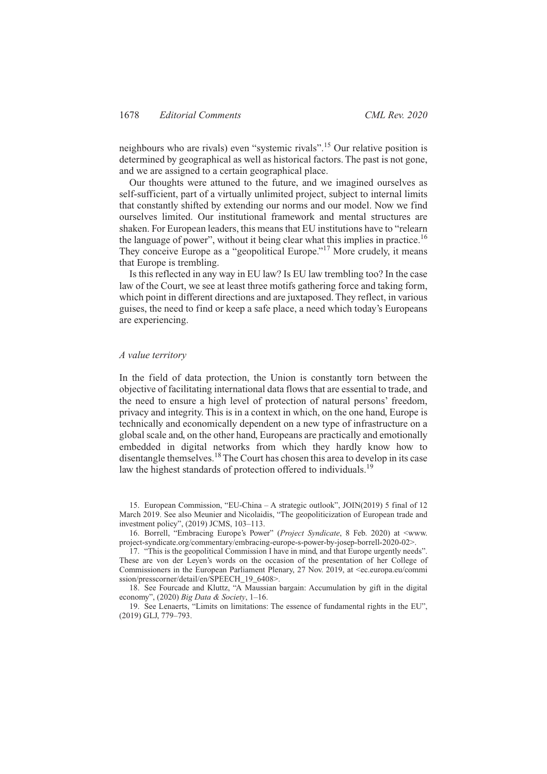neighbours who are rivals) even "systemic rivals".<sup>15</sup> Our relative position is determined by geographical as well as historical factors. The past is not gone, and we are assigned to a certain geographical place.

Our thoughts were attuned to the future, and we imagined ourselves as self-sufficient, part of a virtually unlimited project, subject to internal limits that constantly shifted by extending our norms and our model. Now we find ourselves limited. Our institutional framework and mental structures are shaken. For European leaders, this means that EU institutions have to "relearn the language of power", without it being clear what this implies in practice.<sup>16</sup> They conceive Europe as a "geopolitical Europe."<sup>17</sup> More crudely, it means that Europe is trembling.

Is this reflected in any way in EU law? Is EU law trembling too? In the case law of the Court, we see at least three motifs gathering force and taking form, which point in different directions and are juxtaposed. They reflect, in various guises, the need to find or keep a safe place, a need which today's Europeans are experiencing.

## *A value territory*

In the field of data protection, the Union is constantly torn between the objective of facilitating international data flows that are essential to trade, and the need to ensure a high level of protection of natural persons' freedom, privacy and integrity. This is in a context in which, on the one hand, Europe is technically and economically dependent on a new type of infrastructure on a global scale and, on the other hand, Europeans are practically and emotionally embedded in digital networks from which they hardly know how to disentangle themselves.18The Court has chosen this area to develop in its case law the highest standards of protection offered to individuals.<sup>19</sup>

15. European Commission, "EU-China – A strategic outlook", JOIN(2019) 5 final of 12 March 2019. See also Meunier and Nicolaidis, "The geopoliticization of European trade and investment policy", (2019) JCMS, 103–113.

16. Borrell, "Embracing Europe's Power" (*Project Syndicate*, 8 Feb. 2020) at <www. project-syndicate.org/commentary/embracing-europe-s-power-by-josep-borrell-2020-02>.

17. "This is the geopolitical Commission I have in mind, and that Europe urgently needs". These are von der Leyen's words on the occasion of the presentation of her College of Commissioners in the European Parliament Plenary, 27 Nov. 2019, at <ec.europa.eu/commi ssion/presscorner/detail/en/SPEECH\_19\_6408>.

18. See Fourcade and Kluttz, "A Maussian bargain: Accumulation by gift in the digital economy", (2020) *Big Data & Society*, 1–16.

19. See Lenaerts, "Limits on limitations: The essence of fundamental rights in the EU", (2019) GLJ, 779–793.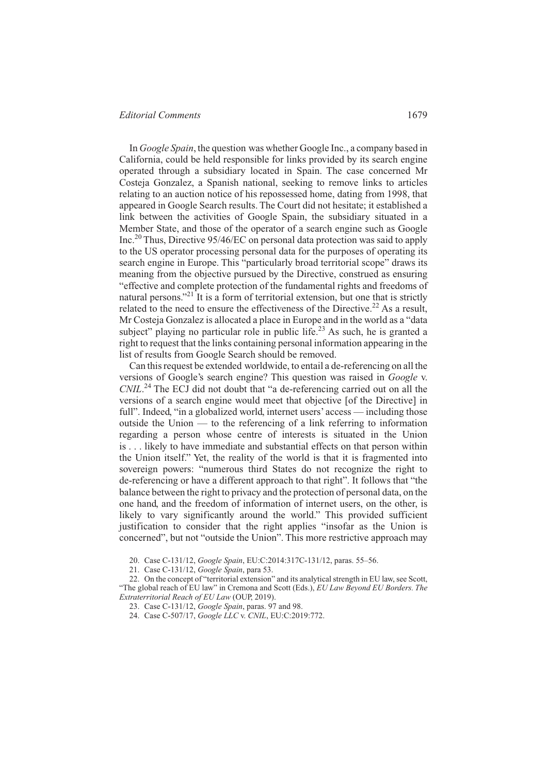In *Google Spain*, the question was whether Google Inc., a company based in California, could be held responsible for links provided by its search engine operated through a subsidiary located in Spain. The case concerned Mr Costeja Gonzalez, a Spanish national, seeking to remove links to articles relating to an auction notice of his repossessed home, dating from 1998, that appeared in Google Search results. The Court did not hesitate; it established a link between the activities of Google Spain, the subsidiary situated in a Member State, and those of the operator of a search engine such as Google Inc.<sup>20</sup> Thus, Directive 95/46/EC on personal data protection was said to apply to the US operator processing personal data for the purposes of operating its search engine in Europe. This "particularly broad territorial scope" draws its meaning from the objective pursued by the Directive, construed as ensuring "effective and complete protection of the fundamental rights and freedoms of natural persons."<sup>21</sup> It is a form of territorial extension, but one that is strictly related to the need to ensure the effectiveness of the Directive.<sup>22</sup> As a result, Mr Costeja Gonzalez is allocated a place in Europe and in the world as a "data subject" playing no particular role in public life.<sup>23</sup> As such, he is granted a right to request that the links containing personal information appearing in the list of results from Google Search should be removed.

Can this request be extended worldwide, to entail a de-referencing on all the versions of Google's search engine? This question was raised in *Google* v. *CNIL*. <sup>24</sup> The ECJ did not doubt that "a de-referencing carried out on all the versions of a search engine would meet that objective [of the Directive] in full". Indeed, "in a globalized world, internet users' access — including those outside the Union — to the referencing of a link referring to information regarding a person whose centre of interests is situated in the Union is . . . likely to have immediate and substantial effects on that person within the Union itself." Yet, the reality of the world is that it is fragmented into sovereign powers: "numerous third States do not recognize the right to de-referencing or have a different approach to that right". It follows that "the balance between the right to privacy and the protection of personal data, on the one hand, and the freedom of information of internet users, on the other, is likely to vary significantly around the world." This provided sufficient justification to consider that the right applies "insofar as the Union is concerned", but not "outside the Union". This more restrictive approach may

20. Case C-131/12, *Google Spain*, EU:C:2014:317C-131/12, paras. 55–56.

21. Case C-131/12, *Google Spain*, para 53.

22. On the concept of "territorial extension" and its analytical strength in EU law, see Scott, "The global reach of EU law" in Cremona and Scott (Eds.), *EU Law Beyond EU Borders. The Extraterritorial Reach of EU Law* (OUP, 2019).

23. Case C-131/12, *Google Spain*, paras. 97 and 98.

24. Case C-507/17, *Google LLC* v. *CNIL*, EU:C:2019:772.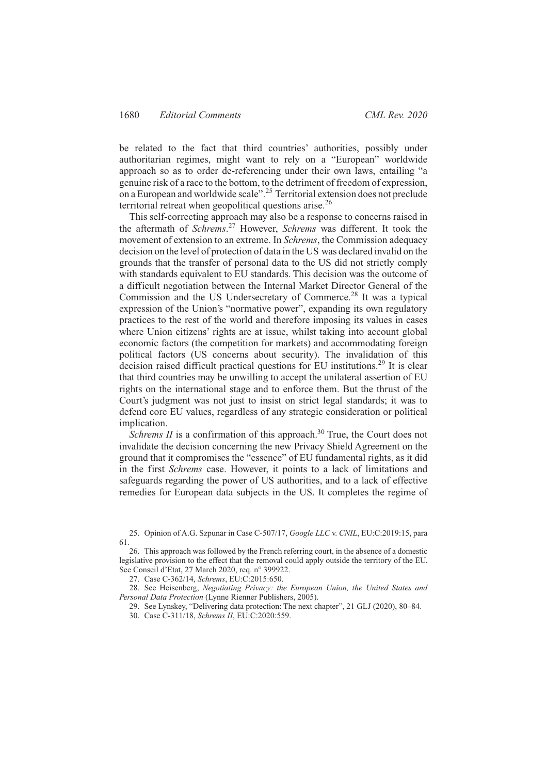be related to the fact that third countries' authorities, possibly under authoritarian regimes, might want to rely on a "European" worldwide approach so as to order de-referencing under their own laws, entailing "a genuine risk of a race to the bottom, to the detriment of freedom of expression, on a European and worldwide scale".<sup>25</sup> Territorial extension does not preclude territorial retreat when geopolitical questions arise.<sup>26</sup>

This self-correcting approach may also be a response to concerns raised in the aftermath of *Schrems*. <sup>27</sup> However, *Schrems* was different. It took the movement of extension to an extreme. In *Schrems*, the Commission adequacy decision on the level of protection of data in the US was declared invalid on the grounds that the transfer of personal data to the US did not strictly comply with standards equivalent to EU standards. This decision was the outcome of a difficult negotiation between the Internal Market Director General of the Commission and the US Undersecretary of Commerce.<sup>28</sup> It was a typical expression of the Union's "normative power", expanding its own regulatory practices to the rest of the world and therefore imposing its values in cases where Union citizens' rights are at issue, whilst taking into account global economic factors (the competition for markets) and accommodating foreign political factors (US concerns about security). The invalidation of this decision raised difficult practical questions for EU institutions.<sup>29</sup> It is clear that third countries may be unwilling to accept the unilateral assertion of EU rights on the international stage and to enforce them. But the thrust of the Court's judgment was not just to insist on strict legal standards; it was to defend core EU values, regardless of any strategic consideration or political implication.

*Schrems II* is a confirmation of this approach.<sup>30</sup> True, the Court does not invalidate the decision concerning the new Privacy Shield Agreement on the ground that it compromises the "essence" of EU fundamental rights, as it did in the first *Schrems* case. However, it points to a lack of limitations and safeguards regarding the power of US authorities, and to a lack of effective remedies for European data subjects in the US. It completes the regime of

25. Opinion of A.G. Szpunar in Case C-507/17, *Google LLC* v. *CNIL*, EU:C:2019:15, para 61.

26. This approach was followed by the French referring court, in the absence of a domestic legislative provision to the effect that the removal could apply outside the territory of the EU. See Conseil d'Etat, 27 March 2020, req. n° 399922.

27. Case C-362/14, *Schrems*, EU:C:2015:650.

28. See Heisenberg, *Negotiating Privacy: the European Union, the United States and Personal Data Protection* (Lynne Rienner Publishers, 2005).

29. See Lynskey, "Delivering data protection: The next chapter", 21 GLJ (2020), 80–84. 30. Case C-311/18, *Schrems II*, EU:C:2020:559.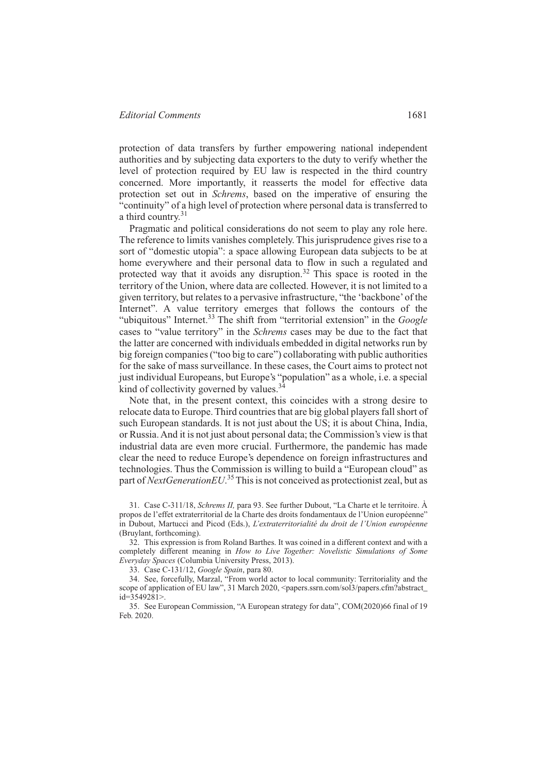protection of data transfers by further empowering national independent authorities and by subjecting data exporters to the duty to verify whether the

level of protection required by EU law is respected in the third country concerned. More importantly, it reasserts the model for effective data protection set out in *Schrems*, based on the imperative of ensuring the "continuity" of a high level of protection where personal data is transferred to a third country. $31$ 

Pragmatic and political considerations do not seem to play any role here. The reference to limits vanishes completely. This jurisprudence gives rise to a sort of "domestic utopia": a space allowing European data subjects to be at home everywhere and their personal data to flow in such a regulated and protected way that it avoids any disruption.<sup>32</sup> This space is rooted in the territory of the Union, where data are collected. However, it is not limited to a given territory, but relates to a pervasive infrastructure, "the 'backbone'of the Internet". A value territory emerges that follows the contours of the "ubiquitous" Internet.<sup>33</sup> The shift from "territorial extension" in the *Google* cases to "value territory" in the *Schrems* cases may be due to the fact that the latter are concerned with individuals embedded in digital networks run by big foreign companies ("too big to care") collaborating with public authorities for the sake of mass surveillance. In these cases, the Court aims to protect not just individual Europeans, but Europe's "population" as a whole, i.e. a special kind of collectivity governed by values.<sup>34</sup>

Note that, in the present context, this coincides with a strong desire to relocate data to Europe. Third countries that are big global players fall short of such European standards. It is not just about the US; it is about China, India, or Russia. And it is not just about personal data; the Commission's view is that industrial data are even more crucial. Furthermore, the pandemic has made clear the need to reduce Europe's dependence on foreign infrastructures and technologies. Thus the Commission is willing to build a "European cloud" as part of *NextGenerationEU*.<sup>35</sup> This is not conceived as protectionist zeal, but as

31. Case C-311/18, *Schrems II,* para 93. See further Dubout, "La Charte et le territoire. À propos de l'effet extraterritorial de la Charte des droits fondamentaux de l'Union européenne" in Dubout, Martucci and Picod (Eds.), *L'extraterritorialité du droit de l'Union européenne* (Bruylant, forthcoming).

32. This expression is from Roland Barthes. It was coined in a different context and with a completely different meaning in *How to Live Together: Novelistic Simulations of Some Everyday Spaces* (Columbia University Press, 2013).

33. Case C-131/12, *Google Spain*, para 80.

34. See, forcefully, Marzal, "From world actor to local community: Territoriality and the scope of application of EU law", 31 March 2020, <papers.ssrn.com/sol3/papers.cfm?abstract\_ id=3549281>.

35. See European Commission, "A European strategy for data", COM(2020)66 final of 19 Feb. 2020.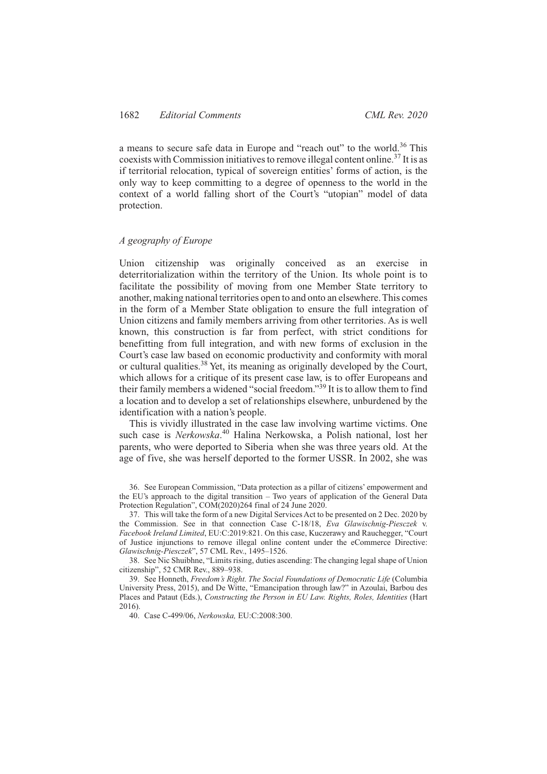a means to secure safe data in Europe and "reach out" to the world.<sup>36</sup> This coexists with Commission initiatives to remove illegal content online.37 It is as if territorial relocation, typical of sovereign entities' forms of action, is the only way to keep committing to a degree of openness to the world in the context of a world falling short of the Court's "utopian" model of data protection.

# *A geography of Europe*

Union citizenship was originally conceived as an exercise in deterritorialization within the territory of the Union. Its whole point is to facilitate the possibility of moving from one Member State territory to another, making national territories open to and onto an elsewhere.This comes in the form of a Member State obligation to ensure the full integration of Union citizens and family members arriving from other territories. As is well known, this construction is far from perfect, with strict conditions for benefitting from full integration, and with new forms of exclusion in the Court's case law based on economic productivity and conformity with moral or cultural qualities.38 Yet, its meaning as originally developed by the Court, which allows for a critique of its present case law, is to offer Europeans and their family members a widened "social freedom."<sup>39</sup> It is to allow them to find a location and to develop a set of relationships elsewhere, unburdened by the identification with a nation's people.

This is vividly illustrated in the case law involving wartime victims. One such case is *Nerkowska*. <sup>40</sup> Halina Nerkowska, a Polish national, lost her parents, who were deported to Siberia when she was three years old. At the age of five, she was herself deported to the former USSR. In 2002, she was

38. See Nic Shuibhne, "Limits rising, duties ascending: The changing legal shape of Union citizenship", 52 CMR Rev., 889–938.

39. See Honneth, *Freedom's Right. The Social Foundations of Democratic Life* (Columbia University Press, 2015), and De Witte, "Emancipation through law?" in Azoulai, Barbou des Places and Pataut (Eds.), *Constructing the Person in EU Law. Rights, Roles, Identities* (Hart 2016).

40. Case C-499/06, *Nerkowska,* EU:C:2008:300.

<sup>36.</sup> See European Commission, "Data protection as a pillar of citizens' empowerment and the EU's approach to the digital transition – Two years of application of the General Data Protection Regulation", COM(2020)264 final of 24 June 2020.

<sup>37.</sup> This will take the form of a new Digital Services Act to be presented on 2 Dec. 2020 by the Commission. See in that connection Case C-18/18, *Eva Glawischnig-Piesczek* v. *Facebook Ireland Limited*, EU:C:2019:821. On this case, Kuczerawy and Rauchegger, "Court of Justice injunctions to remove illegal online content under the eCommerce Directive: *Glawischnig-Piesczek*", 57 CML Rev., 1495–1526.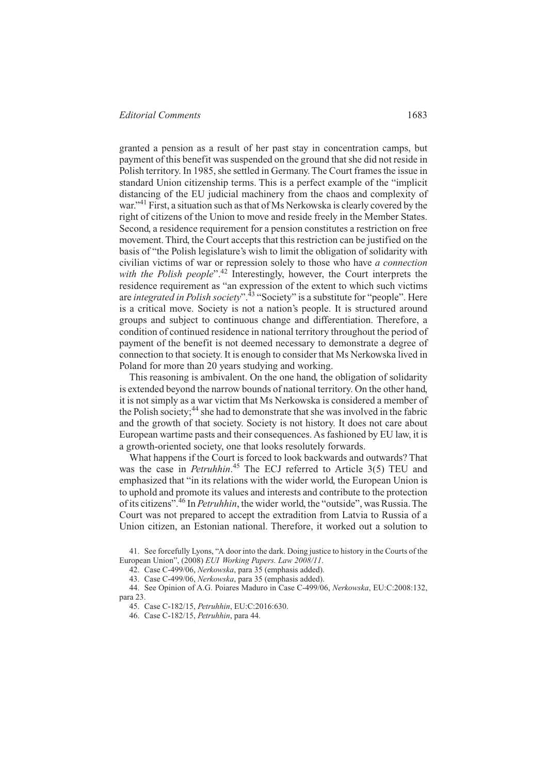granted a pension as a result of her past stay in concentration camps, but payment of this benefit was suspended on the ground that she did not reside in Polish territory. In 1985, she settled in Germany. The Court frames the issue in standard Union citizenship terms. This is a perfect example of the "implicit distancing of the EU judicial machinery from the chaos and complexity of war."<sup>41</sup> First, a situation such as that of Ms Nerkowska is clearly covered by the right of citizens of the Union to move and reside freely in the Member States. Second, a residence requirement for a pension constitutes a restriction on free movement. Third, the Court accepts that this restriction can be justified on the basis of "the Polish legislature's wish to limit the obligation of solidarity with civilian victims of war or repression solely to those who have *a connection* with the Polish people<sup>".42</sup> Interestingly, however, the Court interprets the residence requirement as "an expression of the extent to which such victims are *integrated in Polish society*".43 "Society" is a substitute for "people". Here is a critical move. Society is not a nation's people. It is structured around groups and subject to continuous change and differentiation. Therefore, a condition of continued residence in national territory throughout the period of payment of the benefit is not deemed necessary to demonstrate a degree of connection to that society. It is enough to consider that Ms Nerkowska lived in Poland for more than 20 years studying and working.

This reasoning is ambivalent. On the one hand, the obligation of solidarity is extended beyond the narrow bounds of national territory. On the other hand, it is not simply as a war victim that Ms Nerkowska is considered a member of the Polish society; $44$  she had to demonstrate that she was involved in the fabric and the growth of that society. Society is not history. It does not care about European wartime pasts and their consequences. As fashioned by EU law, it is a growth-oriented society, one that looks resolutely forwards.

What happens if the Court is forced to look backwards and outwards? That was the case in *Petruhhin*. <sup>45</sup> The ECJ referred to Article 3(5) TEU and emphasized that "in its relations with the wider world, the European Union is to uphold and promote its values and interests and contribute to the protection of its citizens".46 In *Petruhhin*, the wider world, the "outside", was Russia.The Court was not prepared to accept the extradition from Latvia to Russia of a Union citizen, an Estonian national. Therefore, it worked out a solution to

41. See forcefully Lyons, "A door into the dark. Doing justice to history in the Courts of the European Union", (2008) *EUI Working Papers. Law 2008/11*.

42. Case C-499/06, *Nerkowska*, para 35 (emphasis added).

43. Case C-499/06, *Nerkowska*, para 35 (emphasis added).

44. See Opinion of A.G. Poiares Maduro in Case C-499/06, *Nerkowska*, EU:C:2008:132, para 23.

45. Case C-182/15, *Petruhhin*, EU:C:2016:630.

46. Case C-182/15, *Petruhhin*, para 44.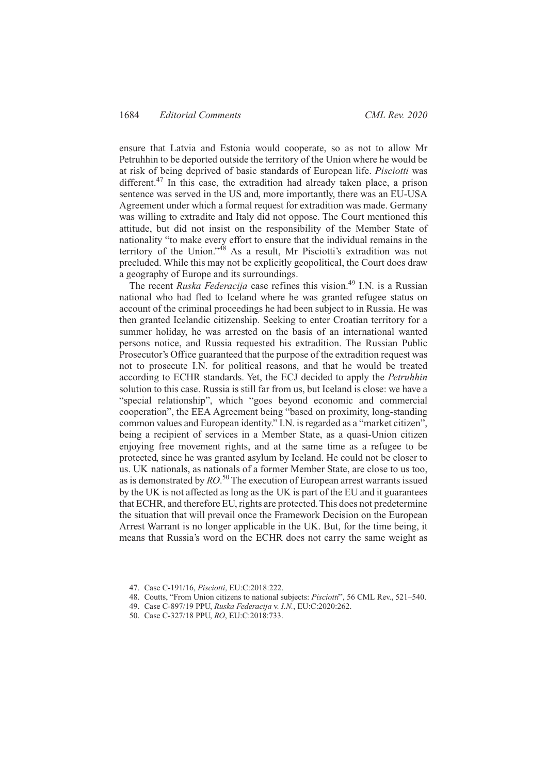ensure that Latvia and Estonia would cooperate, so as not to allow Mr Petruhhin to be deported outside the territory of the Union where he would be at risk of being deprived of basic standards of European life. *Pisciotti* was different.<sup>47</sup> In this case, the extradition had already taken place, a prison sentence was served in the US and, more importantly, there was an EU-USA Agreement under which a formal request for extradition was made. Germany was willing to extradite and Italy did not oppose. The Court mentioned this attitude, but did not insist on the responsibility of the Member State of nationality "to make every effort to ensure that the individual remains in the territory of the Union."48 As a result, Mr Pisciotti's extradition was not precluded. While this may not be explicitly geopolitical, the Court does draw a geography of Europe and its surroundings.

The recent *Ruska Federacija* case refines this vision.<sup>49</sup> I.N. is a Russian national who had fled to Iceland where he was granted refugee status on account of the criminal proceedings he had been subject to in Russia. He was then granted Icelandic citizenship. Seeking to enter Croatian territory for a summer holiday, he was arrested on the basis of an international wanted persons notice, and Russia requested his extradition. The Russian Public Prosecutor's Office guaranteed that the purpose of the extradition request was not to prosecute I.N. for political reasons, and that he would be treated according to ECHR standards. Yet, the ECJ decided to apply the *Petruhhin* solution to this case. Russia is still far from us, but Iceland is close: we have a "special relationship", which "goes beyond economic and commercial cooperation", the EEA Agreement being "based on proximity, long-standing common values and European identity." I.N. is regarded as a "market citizen", being a recipient of services in a Member State, as a quasi-Union citizen enjoying free movement rights, and at the same time as a refugee to be protected, since he was granted asylum by Iceland. He could not be closer to us. UK nationals, as nationals of a former Member State, are close to us too, as is demonstrated by  $RO^{50}$  The execution of European arrest warrants issued by the UK is not affected as long as the UK is part of the EU and it guarantees that ECHR, and therefore EU, rights are protected. This does not predetermine the situation that will prevail once the Framework Decision on the European Arrest Warrant is no longer applicable in the UK. But, for the time being, it means that Russia's word on the ECHR does not carry the same weight as

- 47. Case C-191/16, *Pisciotti*, EU:C:2018:222.
- 48. Coutts, "From Union citizens to national subjects: *Pisciotti*", 56 CML Rev., 521–540.
- 49. Case C-897/19 PPU, *Ruska Federacija* v. *I.N.*, EU:C:2020:262.
- 50. Case C-327/18 PPU, *RO*, EU:C:2018:733.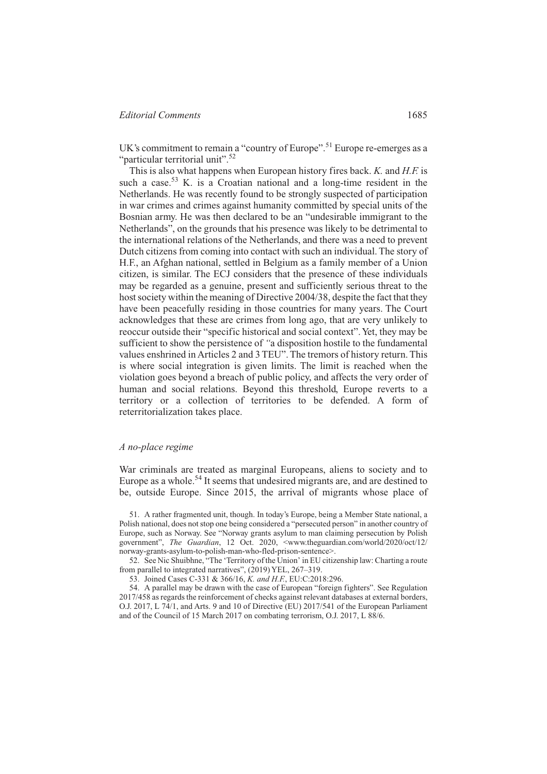UK's commitment to remain a "country of Europe".<sup>51</sup> Europe re-emerges as a "particular territorial unit".<sup>52</sup>

This is also what happens when European history fires back. *K.* and *H.F.* is such a case.<sup>53</sup> K, is a Croatian national and a long-time resident in the Netherlands. He was recently found to be strongly suspected of participation in war crimes and crimes against humanity committed by special units of the Bosnian army. He was then declared to be an "undesirable immigrant to the Netherlands", on the grounds that his presence was likely to be detrimental to the international relations of the Netherlands, and there was a need to prevent Dutch citizens from coming into contact with such an individual. The story of H.F., an Afghan national, settled in Belgium as a family member of a Union citizen, is similar. The ECJ considers that the presence of these individuals may be regarded as a genuine, present and sufficiently serious threat to the host society within the meaning of Directive 2004/38, despite the fact that they have been peacefully residing in those countries for many years. The Court acknowledges that these are crimes from long ago, that are very unlikely to reoccur outside their "specific historical and social context".Yet, they may be sufficient to show the persistence of *"*a disposition hostile to the fundamental values enshrined in Articles 2 and 3 TEU". The tremors of history return. This is where social integration is given limits. The limit is reached when the violation goes beyond a breach of public policy, and affects the very order of human and social relations. Beyond this threshold, Europe reverts to a territory or a collection of territories to be defended. A form of reterritorialization takes place.

#### *A no-place regime*

War criminals are treated as marginal Europeans, aliens to society and to Europe as a whole.54 It seems that undesired migrants are, and are destined to be, outside Europe. Since 2015, the arrival of migrants whose place of

51. A rather fragmented unit, though. In today's Europe, being a Member State national, a Polish national, does not stop one being considered a "persecuted person" in another country of Europe, such as Norway. See "Norway grants asylum to man claiming persecution by Polish government", *The Guardian*, 12 Oct. 2020, <www.theguardian.com/world/2020/oct/12/ norway-grants-asylum-to-polish-man-who-fled-prison-sentence>.

52. See Nic Shuibhne, "The 'Territory of the Union' in EU citizenship law: Charting a route from parallel to integrated narratives", (2019) YEL, 267–319.

53. Joined Cases C-331 & 366/16, *K. and H.F.*, EU:C:2018:296.

54. A parallel may be drawn with the case of European "foreign fighters". See Regulation 2017/458 as regards the reinforcement of checks against relevant databases at external borders, O.J. 2017, L 74/1, and Arts. 9 and 10 of Directive (EU) 2017/541 of the European Parliament and of the Council of 15 March 2017 on combating terrorism, O.J. 2017, L 88/6.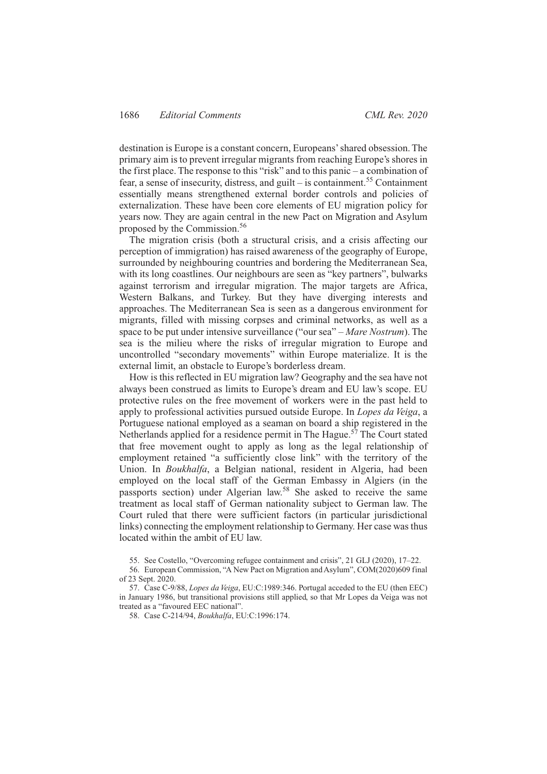destination is Europe is a constant concern, Europeans' shared obsession. The primary aim is to prevent irregular migrants from reaching Europe's shores in the first place. The response to this "risk" and to this panic – a combination of fear, a sense of insecurity, distress, and guilt – is containment.<sup>55</sup> Containment essentially means strengthened external border controls and policies of externalization. These have been core elements of EU migration policy for years now. They are again central in the new Pact on Migration and Asylum proposed by the Commission.<sup>56</sup>

The migration crisis (both a structural crisis, and a crisis affecting our perception of immigration) has raised awareness of the geography of Europe, surrounded by neighbouring countries and bordering the Mediterranean Sea, with its long coastlines. Our neighbours are seen as "key partners", bulwarks against terrorism and irregular migration. The major targets are Africa, Western Balkans, and Turkey. But they have diverging interests and approaches. The Mediterranean Sea is seen as a dangerous environment for migrants, filled with missing corpses and criminal networks, as well as a space to be put under intensive surveillance ("our sea" – *Mare Nostrum*). The sea is the milieu where the risks of irregular migration to Europe and uncontrolled "secondary movements" within Europe materialize. It is the external limit, an obstacle to Europe's borderless dream.

How is this reflected in EU migration law? Geography and the sea have not always been construed as limits to Europe's dream and EU law's scope. EU protective rules on the free movement of workers were in the past held to apply to professional activities pursued outside Europe. In *Lopes da Veiga*, a Portuguese national employed as a seaman on board a ship registered in the Netherlands applied for a residence permit in The Hague.<sup> $57$ </sup> The Court stated that free movement ought to apply as long as the legal relationship of employment retained "a sufficiently close link" with the territory of the Union. In *Boukhalfa*, a Belgian national, resident in Algeria, had been employed on the local staff of the German Embassy in Algiers (in the passports section) under Algerian law.58 She asked to receive the same treatment as local staff of German nationality subject to German law. The Court ruled that there were sufficient factors (in particular jurisdictional links) connecting the employment relationship to Germany. Her case was thus located within the ambit of EU law.

- 55. See Costello, "Overcoming refugee containment and crisis", 21 GLJ (2020), 17–22.
- 56. European Commission, "A New Pact on Migration and Asylum", COM(2020)609 final of 23 Sept. 2020.
- 57. Case C-9/88, *Lopes da Veiga*, EU:C:1989:346. Portugal acceded to the EU (then EEC) in January 1986, but transitional provisions still applied, so that Mr Lopes da Veiga was not treated as a "favoured EEC national".

58. Case C-214/94, *Boukhalfa*, EU:C:1996:174.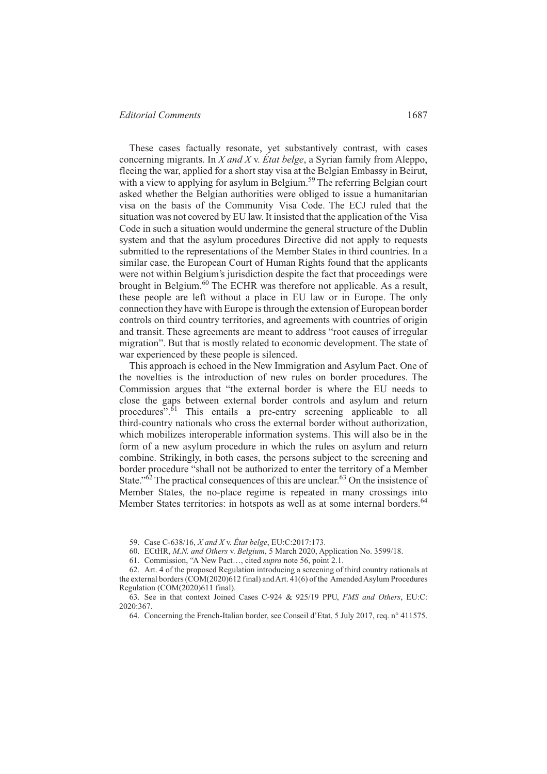These cases factually resonate, yet substantively contrast, with cases concerning migrants. In *X and X* v. *État belge*, a Syrian family from Aleppo, fleeing the war, applied for a short stay visa at the Belgian Embassy in Beirut, with a view to applying for asylum in Belgium.<sup>59</sup> The referring Belgian court asked whether the Belgian authorities were obliged to issue a humanitarian visa on the basis of the Community Visa Code. The ECJ ruled that the situation was not covered by EU law. It insisted that the application of the Visa Code in such a situation would undermine the general structure of the Dublin system and that the asylum procedures Directive did not apply to requests submitted to the representations of the Member States in third countries. In a similar case, the European Court of Human Rights found that the applicants were not within Belgium's jurisdiction despite the fact that proceedings were brought in Belgium.<sup>60</sup> The ECHR was therefore not applicable. As a result, these people are left without a place in EU law or in Europe. The only connection they have with Europe is through the extension of European border controls on third country territories, and agreements with countries of origin and transit. These agreements are meant to address "root causes of irregular migration". But that is mostly related to economic development. The state of war experienced by these people is silenced.

This approach is echoed in the New Immigration and Asylum Pact. One of the novelties is the introduction of new rules on border procedures. The Commission argues that "the external border is where the EU needs to close the gaps between external border controls and asylum and return procedures".<sup>61</sup> This entails a pre-entry screening applicable to all third-country nationals who cross the external border without authorization, which mobilizes interoperable information systems. This will also be in the form of a new asylum procedure in which the rules on asylum and return combine. Strikingly, in both cases, the persons subject to the screening and border procedure "shall not be authorized to enter the territory of a Member State." $62$ <sup>The practical consequences of this are unclear. $63$  On the insistence of</sup> Member States, the no-place regime is repeated in many crossings into Member States territories: in hotspots as well as at some internal borders.<sup>64</sup>

59. Case C-638/16, *X and X* v. *État belge*, EU:C:2017:173.

60. ECtHR, *M.N. and Others* v. *Belgium*, 5 March 2020, Application No. 3599/18.

61. Commission, "A New Pact…, cited *supra* note 56, point 2.1.

62. Art. 4 of the proposed Regulation introducing a screening of third country nationals at the external borders (COM(2020)612 final) and Art. 41(6) of the Amended Asylum Procedures Regulation (COM(2020)611 final).

63. See in that context Joined Cases C-924 & 925/19 PPU, *FMS and Others*, EU:C: 2020:367.

64. Concerning the French-Italian border, see Conseil d'Etat, 5 July 2017, req. n° 411575.